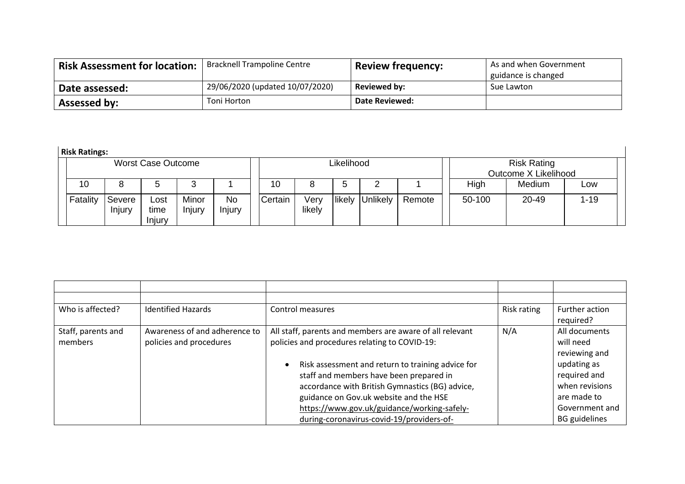| <b>Risk Assessment for location:</b> | <b>Bracknell Trampoline Centre</b> | <b>Review frequency:</b> | As and when Government<br>guidance is changed |
|--------------------------------------|------------------------------------|--------------------------|-----------------------------------------------|
| Date assessed:                       | 29/06/2020 (updated 10/07/2020)    | <b>Reviewed by:</b>      | Sue Lawton                                    |
| <b>Assessed by:</b>                  | Toni Horton                        | <b>Date Reviewed:</b>    |                                               |

**Risk Ratings:**

| NISK NALIHES. |                  |                           |                 |                     |         |                |            |          |        |        |                                            |          |  |
|---------------|------------------|---------------------------|-----------------|---------------------|---------|----------------|------------|----------|--------|--------|--------------------------------------------|----------|--|
|               |                  | <b>Worst Case Outcome</b> |                 |                     |         |                | Likelihood |          |        |        | <b>Risk Rating</b><br>Outcome X Likelihood |          |  |
| 10            |                  |                           |                 |                     | 10      |                | G          |          |        | High   | Medium                                     | Low      |  |
| Fatality      | Severe<br>Injury | ∟ost<br>time<br>Injury    | Minor<br>Injury | <b>No</b><br>Injury | Certain | Very<br>likely | likely     | Unlikely | Remote | 50-100 | 20-49                                      | $1 - 19$ |  |

 $\mathbf{1}$ 

| Who is affected?   | <b>Identified Hazards</b>     | Control measures                                               | Risk rating | Further action       |
|--------------------|-------------------------------|----------------------------------------------------------------|-------------|----------------------|
|                    |                               |                                                                |             | required?            |
| Staff, parents and | Awareness of and adherence to | All staff, parents and members are aware of all relevant       | N/A         | All documents        |
| members            | policies and procedures       | policies and procedures relating to COVID-19:                  |             | will need            |
|                    |                               |                                                                |             | reviewing and        |
|                    |                               | Risk assessment and return to training advice for<br>$\bullet$ |             | updating as          |
|                    |                               | staff and members have been prepared in                        |             | required and         |
|                    |                               | accordance with British Gymnastics (BG) advice,                |             | when revisions       |
|                    |                               | guidance on Gov.uk website and the HSE                         |             | are made to          |
|                    |                               | https://www.gov.uk/guidance/working-safely-                    |             | Government and       |
|                    |                               | during-coronavirus-covid-19/providers-of-                      |             | <b>BG</b> guidelines |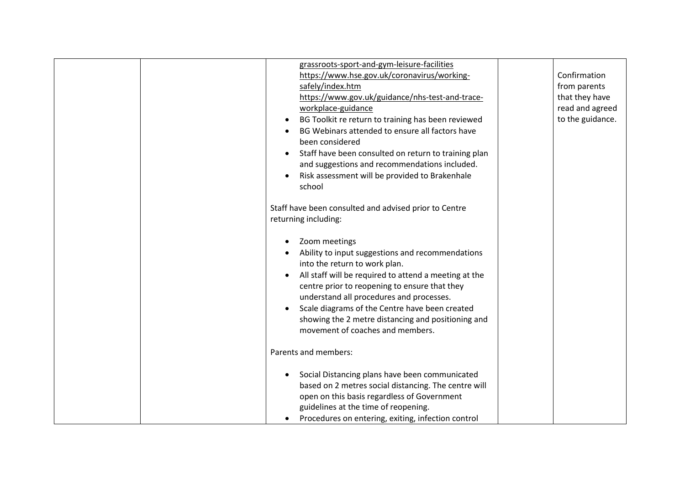|  | grassroots-sport-and-gym-leisure-facilities<br>https://www.hse.gov.uk/coronavirus/working-<br>safely/index.htm<br>https://www.gov.uk/guidance/nhs-test-and-trace-<br>workplace-guidance<br>BG Toolkit re return to training has been reviewed<br>BG Webinars attended to ensure all factors have<br>been considered<br>Staff have been consulted on return to training plan<br>and suggestions and recommendations included.<br>Risk assessment will be provided to Brakenhale<br>school | Confirmation<br>from parents<br>that they have<br>read and agreed<br>to the guidance. |
|--|------------------------------------------------------------------------------------------------------------------------------------------------------------------------------------------------------------------------------------------------------------------------------------------------------------------------------------------------------------------------------------------------------------------------------------------------------------------------------------------|---------------------------------------------------------------------------------------|
|  | Staff have been consulted and advised prior to Centre<br>returning including:                                                                                                                                                                                                                                                                                                                                                                                                            |                                                                                       |
|  | Zoom meetings<br>Ability to input suggestions and recommendations<br>into the return to work plan.<br>All staff will be required to attend a meeting at the<br>centre prior to reopening to ensure that they<br>understand all procedures and processes.<br>Scale diagrams of the Centre have been created<br>showing the 2 metre distancing and positioning and<br>movement of coaches and members.                                                                                     |                                                                                       |
|  | Parents and members:                                                                                                                                                                                                                                                                                                                                                                                                                                                                     |                                                                                       |
|  | Social Distancing plans have been communicated<br>based on 2 metres social distancing. The centre will<br>open on this basis regardless of Government<br>guidelines at the time of reopening.<br>Procedures on entering, exiting, infection control                                                                                                                                                                                                                                      |                                                                                       |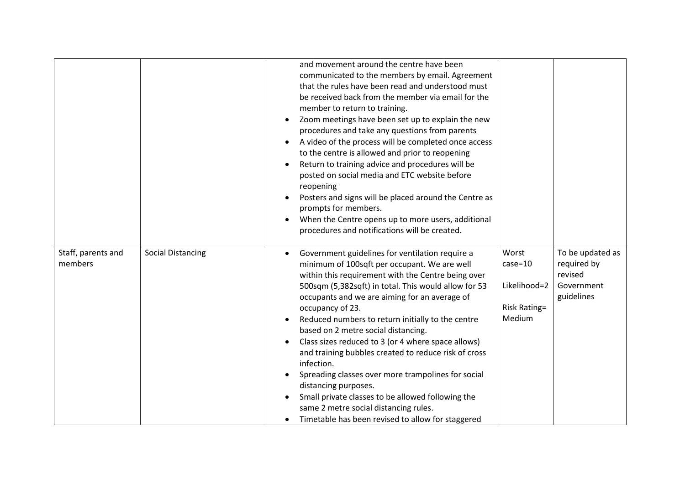|                               |                          | and movement around the centre have been<br>communicated to the members by email. Agreement<br>that the rules have been read and understood must<br>be received back from the member via email for the<br>member to return to training.<br>Zoom meetings have been set up to explain the new<br>$\bullet$<br>procedures and take any questions from parents<br>A video of the process will be completed once access<br>$\bullet$<br>to the centre is allowed and prior to reopening<br>Return to training advice and procedures will be<br>posted on social media and ETC website before<br>reopening<br>Posters and signs will be placed around the Centre as<br>prompts for members.<br>When the Centre opens up to more users, additional<br>procedures and notifications will be created. |                                                                       |                                                                        |
|-------------------------------|--------------------------|-----------------------------------------------------------------------------------------------------------------------------------------------------------------------------------------------------------------------------------------------------------------------------------------------------------------------------------------------------------------------------------------------------------------------------------------------------------------------------------------------------------------------------------------------------------------------------------------------------------------------------------------------------------------------------------------------------------------------------------------------------------------------------------------------|-----------------------------------------------------------------------|------------------------------------------------------------------------|
| Staff, parents and<br>members | <b>Social Distancing</b> | Government guidelines for ventilation require a<br>minimum of 100sqft per occupant. We are well<br>within this requirement with the Centre being over<br>500sqm (5,382sqft) in total. This would allow for 53<br>occupants and we are aiming for an average of<br>occupancy of 23.<br>Reduced numbers to return initially to the centre<br>$\bullet$<br>based on 2 metre social distancing.<br>Class sizes reduced to 3 (or 4 where space allows)<br>and training bubbles created to reduce risk of cross<br>infection.<br>Spreading classes over more trampolines for social<br>distancing purposes.<br>Small private classes to be allowed following the<br>$\bullet$<br>same 2 metre social distancing rules.<br>Timetable has been revised to allow for staggered<br>$\bullet$            | Worst<br>$case = 10$<br>Likelihood=2<br><b>Risk Rating=</b><br>Medium | To be updated as<br>required by<br>revised<br>Government<br>guidelines |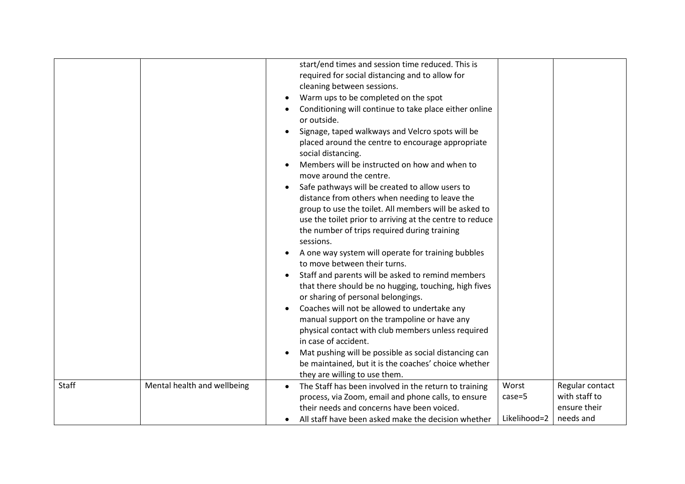|       |                             | start/end times and session time reduced. This is<br>required for social distancing and to allow for<br>cleaning between sessions.<br>Warm ups to be completed on the spot<br>Conditioning will continue to take place either online<br>or outside.<br>Signage, taped walkways and Velcro spots will be<br>placed around the centre to encourage appropriate<br>social distancing.<br>Members will be instructed on how and when to<br>move around the centre.<br>Safe pathways will be created to allow users to<br>distance from others when needing to leave the<br>group to use the toilet. All members will be asked to<br>use the toilet prior to arriving at the centre to reduce<br>the number of trips required during training<br>sessions.<br>A one way system will operate for training bubbles<br>to move between their turns.<br>Staff and parents will be asked to remind members<br>that there should be no hugging, touching, high fives<br>or sharing of personal belongings.<br>Coaches will not be allowed to undertake any<br>manual support on the trampoline or have any<br>physical contact with club members unless required<br>in case of accident.<br>Mat pushing will be possible as social distancing can |                                                               |
|-------|-----------------------------|----------------------------------------------------------------------------------------------------------------------------------------------------------------------------------------------------------------------------------------------------------------------------------------------------------------------------------------------------------------------------------------------------------------------------------------------------------------------------------------------------------------------------------------------------------------------------------------------------------------------------------------------------------------------------------------------------------------------------------------------------------------------------------------------------------------------------------------------------------------------------------------------------------------------------------------------------------------------------------------------------------------------------------------------------------------------------------------------------------------------------------------------------------------------------------------------------------------------------------------|---------------------------------------------------------------|
|       |                             | be maintained, but it is the coaches' choice whether<br>they are willing to use them.                                                                                                                                                                                                                                                                                                                                                                                                                                                                                                                                                                                                                                                                                                                                                                                                                                                                                                                                                                                                                                                                                                                                                  |                                                               |
| Staff | Mental health and wellbeing | Worst<br>The Staff has been involved in the return to training<br>process, via Zoom, email and phone calls, to ensure<br>$case=5$<br>their needs and concerns have been voiced.<br>Likelihood=2<br>All staff have been asked make the decision whether<br>$\bullet$                                                                                                                                                                                                                                                                                                                                                                                                                                                                                                                                                                                                                                                                                                                                                                                                                                                                                                                                                                    | Regular contact<br>with staff to<br>ensure their<br>needs and |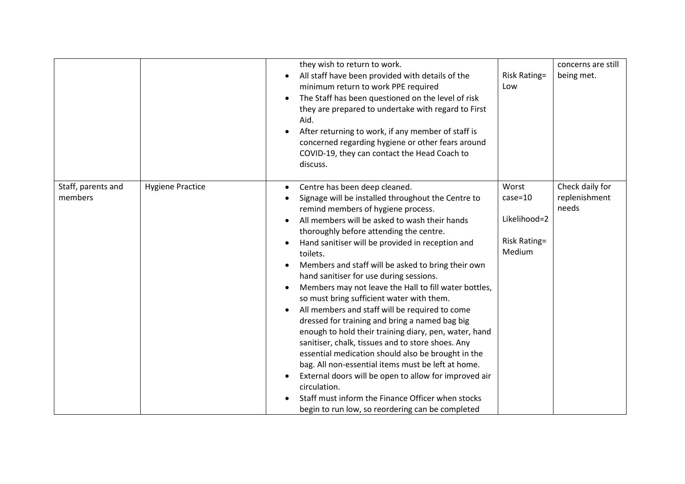|                               |                         | they wish to return to work.<br>All staff have been provided with details of the<br>minimum return to work PPE required<br>The Staff has been questioned on the level of risk<br>$\bullet$<br>they are prepared to undertake with regard to First<br>Aid.<br>After returning to work, if any member of staff is<br>$\bullet$<br>concerned regarding hygiene or other fears around<br>COVID-19, they can contact the Head Coach to<br>discuss.                                                                                                                                                                                                                                                                                                                                                                                                                                                                                                                                                                                          | <b>Risk Rating=</b><br>Low                                            | concerns are still<br>being met.          |
|-------------------------------|-------------------------|----------------------------------------------------------------------------------------------------------------------------------------------------------------------------------------------------------------------------------------------------------------------------------------------------------------------------------------------------------------------------------------------------------------------------------------------------------------------------------------------------------------------------------------------------------------------------------------------------------------------------------------------------------------------------------------------------------------------------------------------------------------------------------------------------------------------------------------------------------------------------------------------------------------------------------------------------------------------------------------------------------------------------------------|-----------------------------------------------------------------------|-------------------------------------------|
| Staff, parents and<br>members | <b>Hygiene Practice</b> | Centre has been deep cleaned.<br>$\bullet$<br>Signage will be installed throughout the Centre to<br>remind members of hygiene process.<br>All members will be asked to wash their hands<br>thoroughly before attending the centre.<br>Hand sanitiser will be provided in reception and<br>toilets.<br>Members and staff will be asked to bring their own<br>hand sanitiser for use during sessions.<br>Members may not leave the Hall to fill water bottles,<br>$\bullet$<br>so must bring sufficient water with them.<br>All members and staff will be required to come<br>dressed for training and bring a named bag big<br>enough to hold their training diary, pen, water, hand<br>sanitiser, chalk, tissues and to store shoes. Any<br>essential medication should also be brought in the<br>bag. All non-essential items must be left at home.<br>External doors will be open to allow for improved air<br>circulation.<br>Staff must inform the Finance Officer when stocks<br>begin to run low, so reordering can be completed | Worst<br>$case = 10$<br>Likelihood=2<br><b>Risk Rating=</b><br>Medium | Check daily for<br>replenishment<br>needs |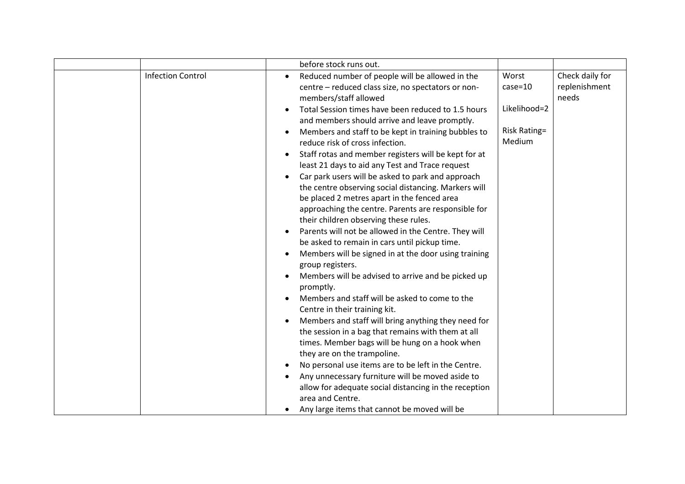|                          | before stock runs out.                                                                                                                                                                                                                                                                                                                                                                                                                                                                                                                                                                                                                                                                                                                                                                                                                                                                                                                                                                                                                                                                                                                                                                                                                                                                 |                                                                       |                                           |
|--------------------------|----------------------------------------------------------------------------------------------------------------------------------------------------------------------------------------------------------------------------------------------------------------------------------------------------------------------------------------------------------------------------------------------------------------------------------------------------------------------------------------------------------------------------------------------------------------------------------------------------------------------------------------------------------------------------------------------------------------------------------------------------------------------------------------------------------------------------------------------------------------------------------------------------------------------------------------------------------------------------------------------------------------------------------------------------------------------------------------------------------------------------------------------------------------------------------------------------------------------------------------------------------------------------------------|-----------------------------------------------------------------------|-------------------------------------------|
| <b>Infection Control</b> | Reduced number of people will be allowed in the<br>centre - reduced class size, no spectators or non-<br>members/staff allowed<br>Total Session times have been reduced to 1.5 hours<br>and members should arrive and leave promptly.<br>Members and staff to be kept in training bubbles to<br>$\bullet$<br>reduce risk of cross infection.<br>Staff rotas and member registers will be kept for at<br>$\bullet$<br>least 21 days to aid any Test and Trace request<br>Car park users will be asked to park and approach<br>the centre observing social distancing. Markers will<br>be placed 2 metres apart in the fenced area<br>approaching the centre. Parents are responsible for<br>their children observing these rules.<br>Parents will not be allowed in the Centre. They will<br>$\bullet$<br>be asked to remain in cars until pickup time.<br>Members will be signed in at the door using training<br>group registers.<br>Members will be advised to arrive and be picked up<br>promptly.<br>Members and staff will be asked to come to the<br>Centre in their training kit.<br>Members and staff will bring anything they need for<br>the session in a bag that remains with them at all<br>times. Member bags will be hung on a hook when<br>they are on the trampoline. | Worst<br>$case = 10$<br>Likelihood=2<br><b>Risk Rating=</b><br>Medium | Check daily for<br>replenishment<br>needs |
|                          | No personal use items are to be left in the Centre.<br>Any unnecessary furniture will be moved aside to<br>allow for adequate social distancing in the reception<br>area and Centre.<br>Any large items that cannot be moved will be<br>$\bullet$                                                                                                                                                                                                                                                                                                                                                                                                                                                                                                                                                                                                                                                                                                                                                                                                                                                                                                                                                                                                                                      |                                                                       |                                           |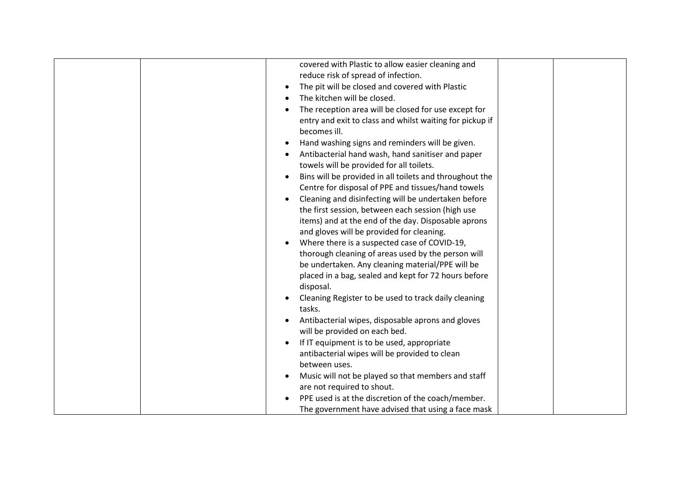| covered with Plastic to allow easier cleaning and                                                        |
|----------------------------------------------------------------------------------------------------------|
| reduce risk of spread of infection.                                                                      |
| The pit will be closed and covered with Plastic                                                          |
| The kitchen will be closed.                                                                              |
| The reception area will be closed for use except for                                                     |
| entry and exit to class and whilst waiting for pickup if                                                 |
| becomes ill.                                                                                             |
| Hand washing signs and reminders will be given.                                                          |
| Antibacterial hand wash, hand sanitiser and paper                                                        |
| towels will be provided for all toilets.                                                                 |
| Bins will be provided in all toilets and throughout the                                                  |
| Centre for disposal of PPE and tissues/hand towels                                                       |
| Cleaning and disinfecting will be undertaken before<br>$\bullet$                                         |
| the first session, between each session (high use                                                        |
| items) and at the end of the day. Disposable aprons                                                      |
| and gloves will be provided for cleaning.                                                                |
| Where there is a suspected case of COVID-19,                                                             |
| thorough cleaning of areas used by the person will                                                       |
| be undertaken. Any cleaning material/PPE will be                                                         |
| placed in a bag, sealed and kept for 72 hours before                                                     |
| disposal.                                                                                                |
| Cleaning Register to be used to track daily cleaning                                                     |
| tasks.                                                                                                   |
| Antibacterial wipes, disposable aprons and gloves                                                        |
| will be provided on each bed.                                                                            |
| If IT equipment is to be used, appropriate                                                               |
| antibacterial wipes will be provided to clean                                                            |
| between uses.                                                                                            |
| Music will not be played so that members and staff<br>$\bullet$                                          |
| are not required to shout.                                                                               |
|                                                                                                          |
|                                                                                                          |
| PPE used is at the discretion of the coach/member.<br>The government have advised that using a face mask |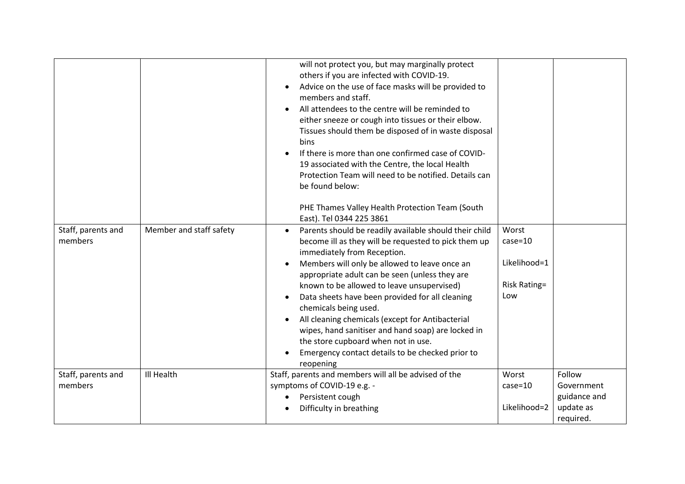|                               |                         | will not protect you, but may marginally protect<br>others if you are infected with COVID-19.<br>Advice on the use of face masks will be provided to<br>members and staff.<br>All attendees to the centre will be reminded to<br>either sneeze or cough into tissues or their elbow.<br>Tissues should them be disposed of in waste disposal<br>bins<br>If there is more than one confirmed case of COVID-<br>19 associated with the Centre, the local Health<br>Protection Team will need to be notified. Details can<br>be found below:<br>PHE Thames Valley Health Protection Team (South<br>East). Tel 0344 225 3861 |                                                                    |                                                                |
|-------------------------------|-------------------------|--------------------------------------------------------------------------------------------------------------------------------------------------------------------------------------------------------------------------------------------------------------------------------------------------------------------------------------------------------------------------------------------------------------------------------------------------------------------------------------------------------------------------------------------------------------------------------------------------------------------------|--------------------------------------------------------------------|----------------------------------------------------------------|
| Staff, parents and<br>members | Member and staff safety | Parents should be readily available should their child<br>$\bullet$<br>become ill as they will be requested to pick them up<br>immediately from Reception.<br>Members will only be allowed to leave once an<br>appropriate adult can be seen (unless they are<br>known to be allowed to leave unsupervised)<br>Data sheets have been provided for all cleaning<br>chemicals being used.<br>All cleaning chemicals (except for Antibacterial<br>$\bullet$<br>wipes, hand sanitiser and hand soap) are locked in<br>the store cupboard when not in use.<br>Emergency contact details to be checked prior to<br>reopening   | Worst<br>$case = 10$<br>Likelihood=1<br><b>Risk Rating=</b><br>Low |                                                                |
| Staff, parents and<br>members | Ill Health              | Staff, parents and members will all be advised of the<br>symptoms of COVID-19 e.g. -<br>Persistent cough<br>Difficulty in breathing                                                                                                                                                                                                                                                                                                                                                                                                                                                                                      | Worst<br>$case = 10$<br>Likelihood=2                               | Follow<br>Government<br>guidance and<br>update as<br>required. |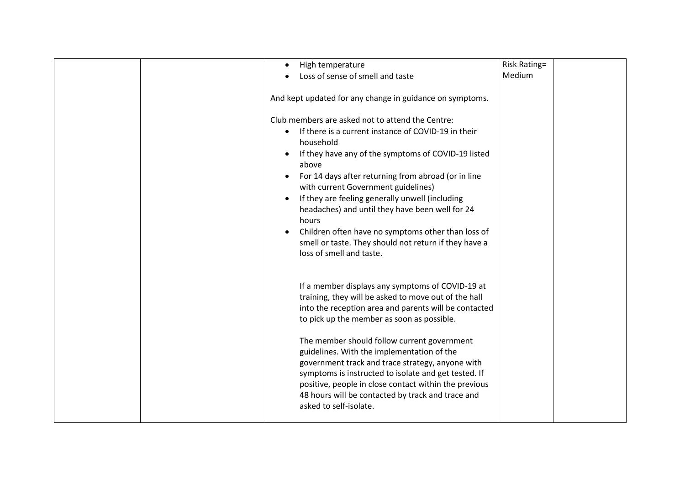| Medium<br>Loss of sense of smell and taste<br>And kept updated for any change in guidance on symptoms. |  |
|--------------------------------------------------------------------------------------------------------|--|
|                                                                                                        |  |
|                                                                                                        |  |
|                                                                                                        |  |
| Club members are asked not to attend the Centre:                                                       |  |
| If there is a current instance of COVID-19 in their                                                    |  |
| household                                                                                              |  |
| If they have any of the symptoms of COVID-19 listed                                                    |  |
| above                                                                                                  |  |
| For 14 days after returning from abroad (or in line                                                    |  |
| with current Government guidelines)<br>If they are feeling generally unwell (including                 |  |
| headaches) and until they have been well for 24                                                        |  |
| hours                                                                                                  |  |
| Children often have no symptoms other than loss of                                                     |  |
| smell or taste. They should not return if they have a                                                  |  |
| loss of smell and taste.                                                                               |  |
|                                                                                                        |  |
| If a member displays any symptoms of COVID-19 at                                                       |  |
| training, they will be asked to move out of the hall                                                   |  |
| into the reception area and parents will be contacted                                                  |  |
| to pick up the member as soon as possible.                                                             |  |
| The member should follow current government                                                            |  |
| guidelines. With the implementation of the                                                             |  |
| government track and trace strategy, anyone with                                                       |  |
| symptoms is instructed to isolate and get tested. If                                                   |  |
| positive, people in close contact within the previous                                                  |  |
| 48 hours will be contacted by track and trace and<br>asked to self-isolate.                            |  |
|                                                                                                        |  |